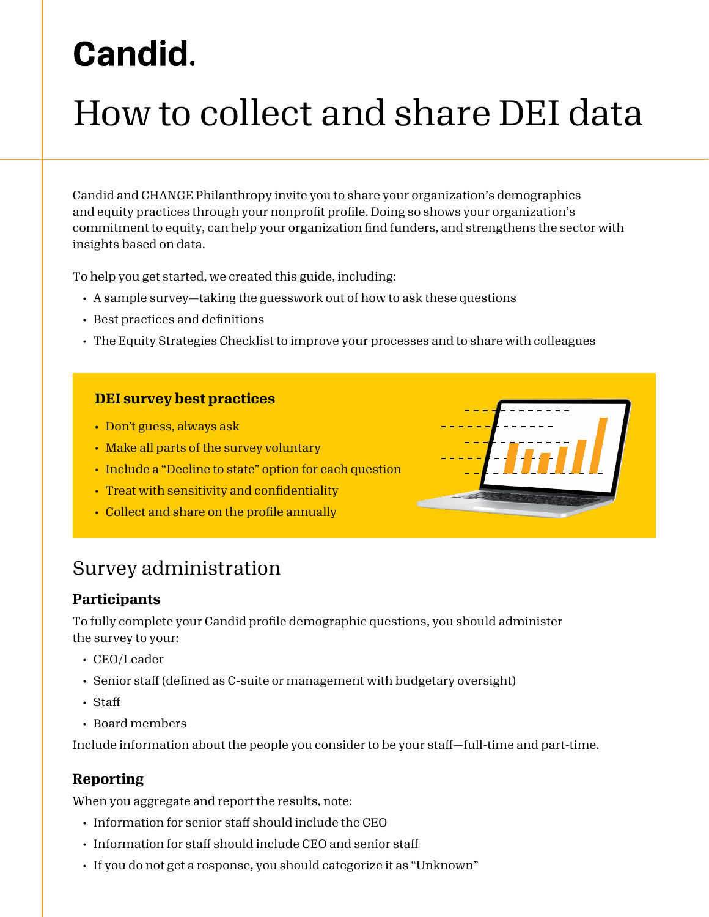# **Candid.**

# How to collect and share DEI data

Candid and CHANGE Philanthropy invite you to share your organization's demographics and equity practices through your nonprofit profile. Doing so shows your organization's commitment to equity, can help your organization find funders, and strengthens the sector with insights based on data.

To help you get started, we created this guide, including:

- A sample survey—taking the guesswork out of how to ask these questions
- Best practices and definitions
- The Equity Strategies Checklist to improve your processes and to share with colleagues

#### **DEI survey best practices**

- Don't guess, always ask
- Make all parts of the survey voluntary
- Include a "Decline to state" option for each question
- Treat with sensitivity and confidentiality
- Collect and share on the profile annually



## Survey administration

#### **Participants**

To fully complete your Candid profile demographic questions, you should administer the survey to your:

- CEO/Leader
- Senior staff (defined as C-suite or management with budgetary oversight)
- Staff
- Board members

Include information about the people you consider to be your staff—full-time and part-time.

### **Reporting**

When you aggregate and report the results, note:

- Information for senior staff should include the CEO
- Information for staff should include CEO and senior staff
- If you do not get a response, you should categorize it as "Unknown"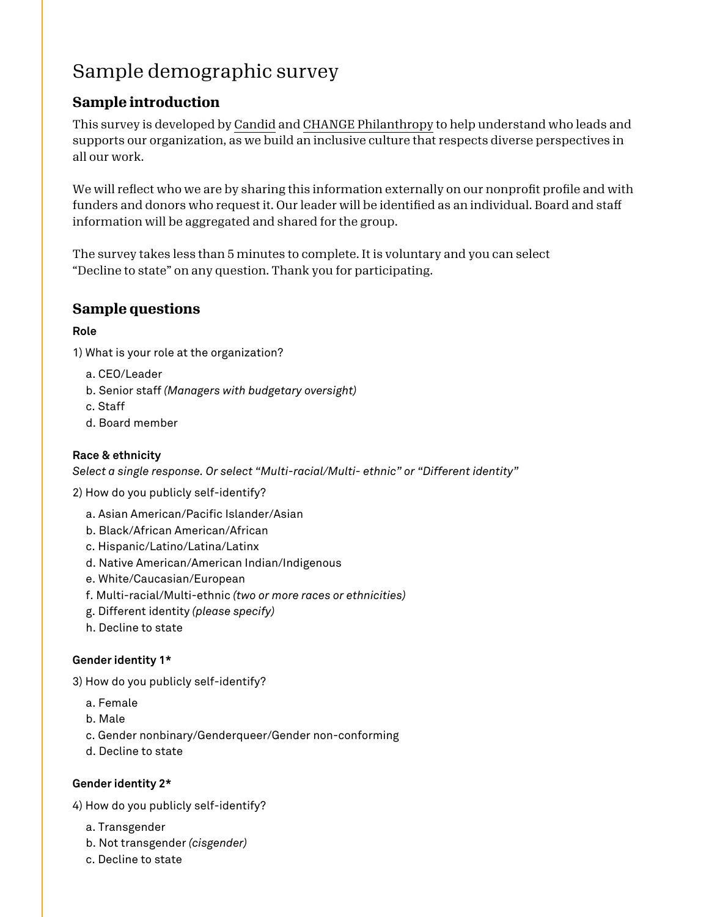# Sample demographic survey

## **Sample introduction**

This survey is developed by [Candid](https://candid.org/) and [CHANGE Philanthropy](https://changephilanthropy.org/) to help understand who leads and supports our organization, as we build an inclusive culture that respects diverse perspectives in all our work.

We will reflect who we are by sharing this information externally on our nonprofit profile and with funders and donors who request it. Our leader will be identified as an individual. Board and staff information will be aggregated and shared for the group.

The survey takes less than 5 minutes to complete. It is voluntary and you can select "Decline to state" on any question. Thank you for participating.

### **Sample questions**

#### **Role**

1) What is your role at the organization?

- a. CEO/Leader
- b. Senior staff *(Managers with budgetary oversight)*
- c. Staff
- d. Board member

#### **Race & ethnicity**

*Select a single response. Or select "Multi-racial/Multi- ethnic" or "Different identity"*

2) How do you publicly self-identify?

- a. Asian American/Pacific Islander/Asian
- b. Black/African American/African
- c. Hispanic/Latino/Latina/Latinx
- d. Native American/American Indian/Indigenous
- e. White/Caucasian/European
- f. Multi-racial/Multi-ethnic *(two or more races or ethnicities)*
- g. Different identity *(please specify)*
- h. Decline to state

#### **Gender identity 1\***

3) How do you publicly self-identify?

- a. Female
- b. Male
- c. Gender nonbinary/Genderqueer/Gender non-conforming
- d. Decline to state

#### **Gender identity 2\***

4) How do you publicly self-identify?

- a. Transgender
- b. Not transgender *(cisgender)*
- c. Decline to state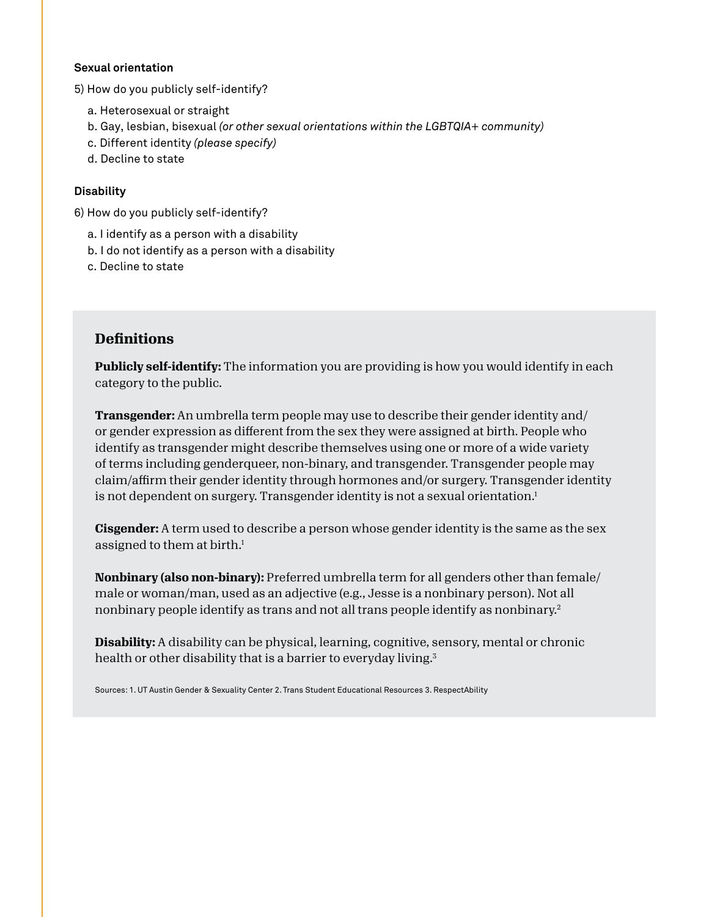#### **Sexual orientation**

5) How do you publicly self-identify?

- a. Heterosexual or straight
- b. Gay, lesbian, bisexual *(or other sexual orientations within the LGBTQIA+ community)*
- c. Different identity *(please specify)*
- d. Decline to state

#### **Disability**

6) How do you publicly self-identify?

- a. I identify as a person with a disability
- b. I do not identify as a person with a disability
- c. Decline to state

#### **Definitions**

**Publicly self-identify:** The information you are providing is how you would identify in each category to the public.

**Transgender:** An umbrella term people may use to describe their gender identity and/ or gender expression as different from the sex they were assigned at birth. People who identify as transgender might describe themselves using one or more of a wide variety of terms including genderqueer, non-binary, and transgender. Transgender people may claim/affirm their gender identity through hormones and/or surgery. Transgender identity is not dependent on surgery. Transgender identity is not a sexual orientation.<sup>1</sup>

**Cisgender:** A term used to describe a person whose gender identity is the same as the sex assigned to them at birth.<sup>1</sup>

**Nonbinary (also non-binary):** Preferred umbrella term for all genders other than female/ male or woman/man, used as an adjective (e.g., Jesse is a nonbinary person). Not all nonbinary people identify as trans and not all trans people identify as nonbinary.2

**Disability:** A disability can be physical, learning, cognitive, sensory, mental or chronic health or other disability that is a barrier to everyday living.<sup>3</sup>

Sources: 1. UT Austin Gender & Sexuality Center 2. Trans Student Educational Resources 3. RespectAbility